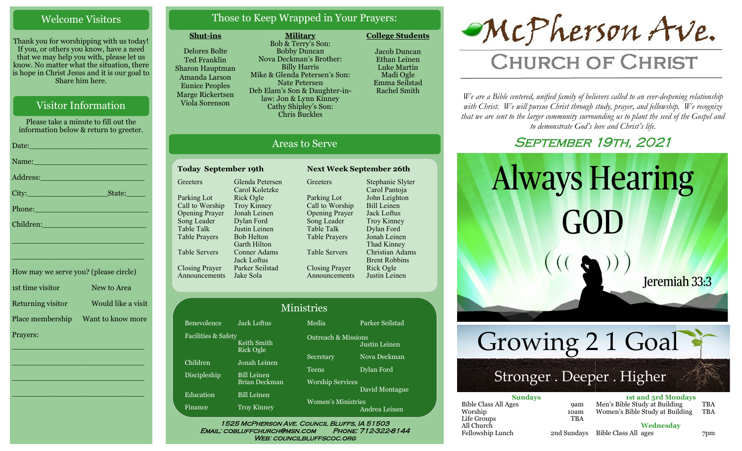#### Welcome Visitors

Thank you for worshipping with us today! If you, or others you know, have a need that we may help you with, please let us know. No matter what the situation, there is hope in Christ Jesus and it is our goal to Share him here.

## Visitor Information

Please take a minute to fill out the information below & return to greeter. Date:\_\_\_\_\_\_\_\_\_\_\_\_\_\_\_\_\_\_\_\_\_\_\_\_\_ Name: Address:\_\_\_\_\_\_\_\_\_\_\_\_\_\_\_\_\_\_\_\_\_\_ City:\_\_\_\_\_\_\_\_\_\_\_\_\_\_\_\_\_State:\_\_\_\_

Phone:\_\_\_\_\_\_\_\_\_\_\_\_\_\_\_\_\_\_\_\_\_\_\_\_

Children: \_\_\_\_\_\_\_\_\_\_\_\_\_\_\_\_\_\_\_\_\_\_\_\_\_\_\_\_

How may we serve you? (please circle) 1st time visitor New to Area Returning visitor Would like a visit Place membership Want to know more Prayers:

\_\_\_\_\_\_\_\_\_\_\_\_\_\_\_\_\_\_\_\_\_\_\_\_\_\_\_\_

 $\overline{\phantom{a}}$  , and the set of the set of the set of the set of the set of the set of the set of the set of the set of the set of the set of the set of the set of the set of the set of the set of the set of the set of the s

 $\overline{\phantom{a}}$  , and the set of the set of the set of the set of the set of the set of the set of the set of the set of the set of the set of the set of the set of the set of the set of the set of the set of the set of the s

\_\_\_\_\_\_\_\_\_\_\_\_\_\_\_\_\_\_\_\_\_\_\_\_\_\_\_\_

\_\_\_\_\_\_\_\_\_\_\_\_\_\_\_\_\_\_\_\_\_\_\_\_\_\_\_\_

## Those to Keep Wrapped in Your Prayers:

#### **Shut-ins**

**Greeters** 

Parking Lot Call to Worship Opening Prayer Song Leader Table Talk Table Prayers

Table Servers

Closing Prayer

Delores Bolte Ted Franklin Sharon Hauptman Amanda Larson Eunice Peoples Marge Rickertsen Viola Sorenson

**Military** Bob & Terry's Son: Bobby Duncan Nova Deckman's Brother: Billy Harris Mike & Glenda Petersen's Son: Nate Petersen Deb Elam's Son & Daughter-inlaw: Jon & Lynn Kinney Cathy Shipley's Son: Chris Buckles

**Today September 19th Next Week September 26th** 

Glenda Petersen Carol Koletzke Rick Ogle Troy Kinney Jonah Leinen Dylan Ford Justin Leinen Bob Helton Garth Hilton Conner Adams Jack Loftus Parker Seilstad

Areas to Serve

**Greeters** 

Parking Lot Call to Worship Opening Prayer Song Leader Table Talk Table Prayers

Table Servers

Closing Prayer Announcements Jacob Duncan Ethan Leinen Luke Martin Madi Ogle Emma Seilstad

Rachel Smith

**College Students** 

Stephanie Slyter Carol Pantoja John Leighton Bill Leinen Jack Loftus Troy Kinney Dylan Ford Jonah Leinen Thad Kinney Christian Adams Brent Robbins Rick Ogle Justin Leinen

McPherson Ave.

# **CHURCH OF CHRIST**

*We are a Bible centered, unified family of believers called to an ever-deepening relationship*  with Christ. We will pursue Christ through study, prayer, and fellowship. We recognize *that we are sent to the larger community surrounding us to plant the seed of the Gospel and to demonstrate God's love and Christ's life.*

## SEPTEMBER 19TH, 2021



## Stronger . Deeper . Higher

| <b>Sundays</b>              |             | <b>1st and 3rd Mondays</b>      |            |  |
|-----------------------------|-------------|---------------------------------|------------|--|
| <b>Bible Class All Ages</b> | <b>9am</b>  | Men's Bible Study at Building   | <b>TBA</b> |  |
| Worship                     | 10am        | Women's Bible Study at Building | <b>TBA</b> |  |
| Life Groups                 | TBA         |                                 |            |  |
| All Church                  |             | Wednesdav                       |            |  |
| Fellowship Lunch            | 2nd Sundays | Bible Class All ages            | 7pm        |  |

|     | Keith Smith<br><b>Rick Ogle</b>            |
|-----|--------------------------------------------|
|     | Jonah Leinen                               |
| ıip | <b>Bill Leinen</b><br><b>Brian Deckman</b> |
| ١   | <b>Bill Leinen</b>                         |
|     | <b>Troy Kinney</b>                         |
|     |                                            |

Benevolence Jack Loftus

Announcements Jake Sola

Facilities & Safety

Children Disciples

Education Finance

## Outreach & Missions Justin Leinen Secretary Nova Deckman

Media Parker Seilstad

Teens Dylan Ford Worship Services

David Montague

Women's Ministries Andrea Leinen

1525 McPherson Ave. Council Bluffs, IA 51503 Email: cobluffchurch@msn.com Phone: 712-322-8144 WEB: COUNCILBLUFFSCOC.ORG

Ministries